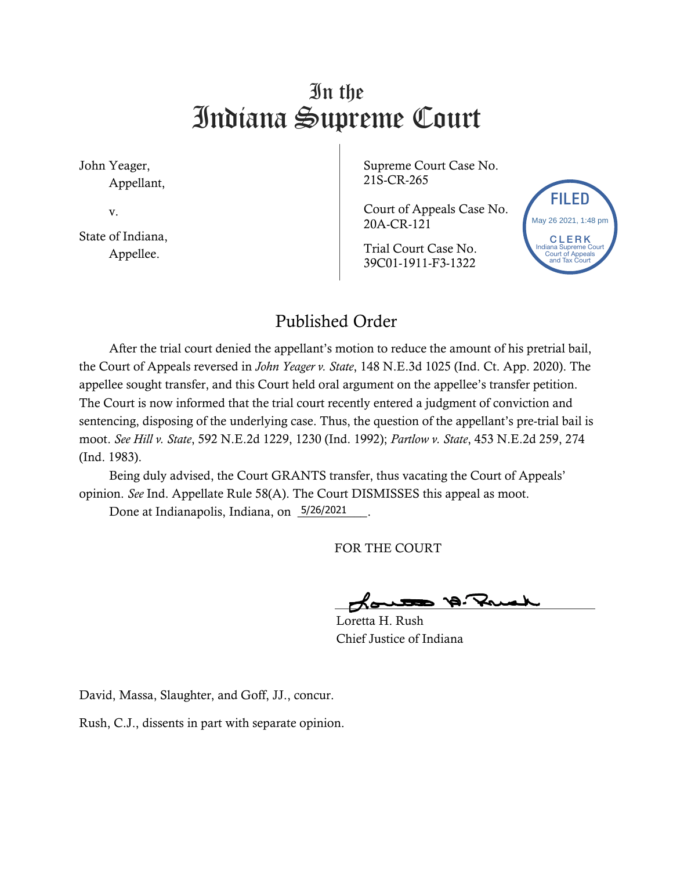## In the Indiana Supreme Court

John Yeager, Appellant,

v.

State of Indiana, Appellee.

Supreme Court Case No. 21S-CR-265

Court of Appeals Case No. 20A-CR-121

Trial Court Case No. 39C01-1911-F3-1322



## Published Order

After the trial court denied the appellant's motion to reduce the amount of his pretrial bail, the Court of Appeals reversed in *John Yeager v. State*, 148 N.E.3d 1025 (Ind. Ct. App. 2020). The appellee sought transfer, and this Court held oral argument on the appellee's transfer petition. The Court is now informed that the trial court recently entered a judgment of conviction and sentencing, disposing of the underlying case. Thus, the question of the appellant's pre-trial bail is moot. *See Hill v. State*, 592 N.E.2d 1229, 1230 (Ind. 1992); *Partlow v. State*, 453 N.E.2d 259, 274 (Ind. 1983).

Being duly advised, the Court GRANTS transfer, thus vacating the Court of Appeals' opinion. *See* Ind. Appellate Rule 58(A). The Court DISMISSES this appeal as moot.

Done at Indianapolis, Indiana, on 5/26/2021 \_\_\_.

FOR THE COURT

Loretta H. Rush Chief Justice of Indiana

David, Massa, Slaughter, and Goff, JJ., concur.

Rush, C.J., dissents in part with separate opinion.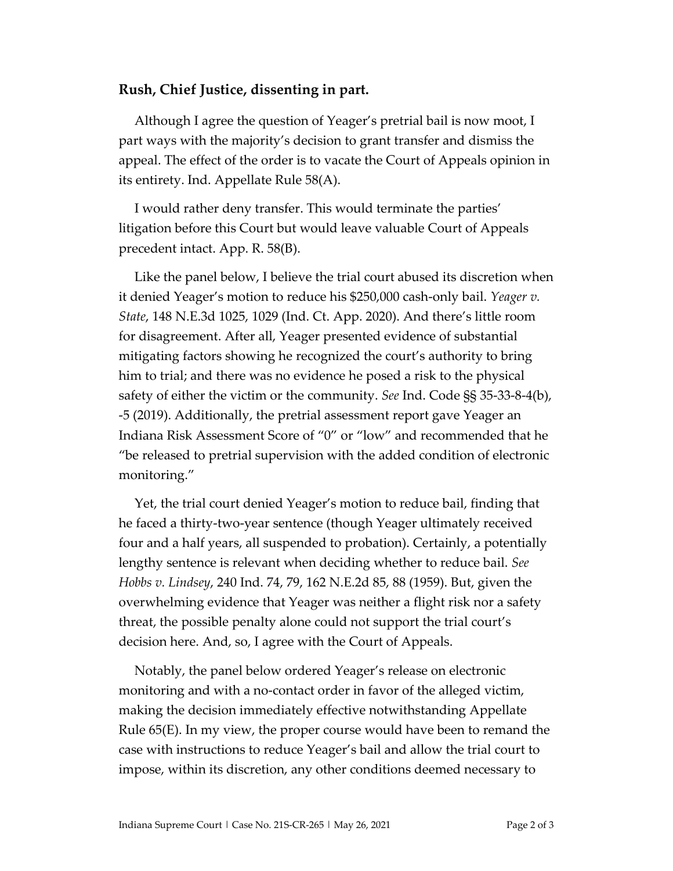## **Rush, Chief Justice, dissenting in part.**

Although I agree the question of Yeager's pretrial bail is now moot, I part ways with the majority's decision to grant transfer and dismiss the appeal. The effect of the order is to vacate the Court of Appeals opinion in its entirety. Ind. Appellate Rule 58(A).

I would rather deny transfer. This would terminate the parties' litigation before this Court but would leave valuable Court of Appeals precedent intact. App. R. 58(B).

Like the panel below, I believe the trial court abused its discretion when it denied Yeager's motion to reduce his \$250,000 cash-only bail. *Yeager v. State*, 148 N.E.3d 1025, 1029 (Ind. Ct. App. 2020). And there's little room for disagreement. After all, Yeager presented evidence of substantial mitigating factors showing he recognized the court's authority to bring him to trial; and there was no evidence he posed a risk to the physical safety of either the victim or the community. *See* Ind. Code §§ 35-33-8-4(b), -5 (2019). Additionally, the pretrial assessment report gave Yeager an Indiana Risk Assessment Score of "0" or "low" and recommended that he "be released to pretrial supervision with the added condition of electronic monitoring."

Yet, the trial court denied Yeager's motion to reduce bail, finding that he faced a thirty-two-year sentence (though Yeager ultimately received four and a half years, all suspended to probation). Certainly, a potentially lengthy sentence is relevant when deciding whether to reduce bail. *See Hobbs v. Lindsey*, 240 Ind. 74, 79, 162 N.E.2d 85, 88 (1959). But, given the overwhelming evidence that Yeager was neither a flight risk nor a safety threat, the possible penalty alone could not support the trial court's decision here. And, so, I agree with the Court of Appeals.

Notably, the panel below ordered Yeager's release on electronic monitoring and with a no-contact order in favor of the alleged victim, making the decision immediately effective notwithstanding Appellate Rule 65(E). In my view, the proper course would have been to remand the case with instructions to reduce Yeager's bail and allow the trial court to impose, within its discretion, any other conditions deemed necessary to